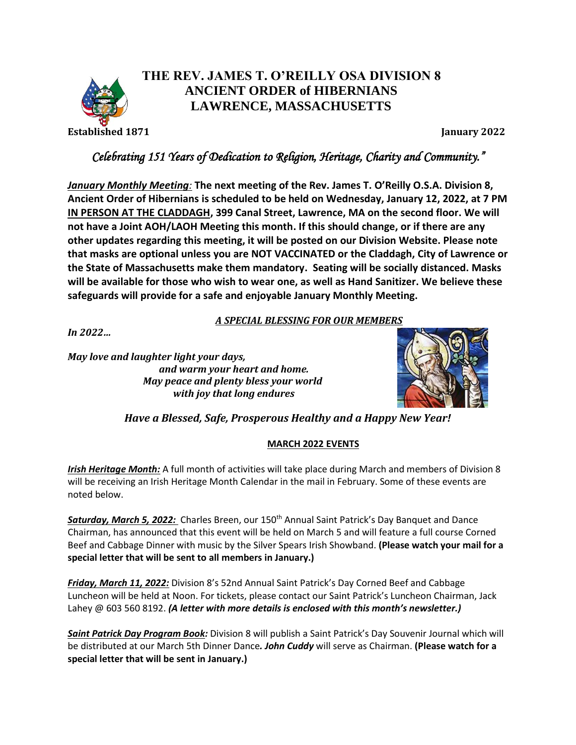

## **THE REV. JAMES T. O'REILLY OSA DIVISION 8 ANCIENT ORDER of HIBERNIANS LAWRENCE, MASSACHUSETTS**

**Established 1871 January 2022**

## *Celebrating 151 Years of Dedication to Religion, Heritage, Charity and Community."*

*January Monthly Meeting:* **The next meeting of the Rev. James T. O'Reilly O.S.A. Division 8, Ancient Order of Hibernians is scheduled to be held on Wednesday, January 12, 2022, at 7 PM IN PERSON AT THE CLADDAGH, 399 Canal Street, Lawrence, MA on the second floor. We will not have a Joint AOH/LAOH Meeting this month. If this should change, or if there are any other updates regarding this meeting, it will be posted on our Division Website. Please note that masks are optional unless you are NOT VACCINATED or the Claddagh, City of Lawrence or the State of Massachusetts make them mandatory. Seating will be socially distanced. Masks will be available for those who wish to wear one, as well as Hand Sanitizer. We believe these safeguards will provide for a safe and enjoyable January Monthly Meeting.**

*A SPECIAL BLESSING FOR OUR MEMBERS*

*In 2022…*

*May love and laughter light your days, and warm your heart and home. May peace and plenty bless your world with joy that long endures*



*Have a Blessed, Safe, Prosperous Healthy and a Happy New Year!*

## **MARCH 2022 EVENTS**

*Irish Heritage Month:* A full month of activities will take place during March and members of Division 8 will be receiving an Irish Heritage Month Calendar in the mail in February. Some of these events are noted below.

*Saturday, March 5, 2022:* Charles Breen, our 150th Annual Saint Patrick's Day Banquet and Dance Chairman, has announced that this event will be held on March 5 and will feature a full course Corned Beef and Cabbage Dinner with music by the Silver Spears Irish Showband. **(Please watch your mail for a special letter that will be sent to all members in January.)**

*Friday, March 11, 2022:* Division 8's 52nd Annual Saint Patrick's Day Corned Beef and Cabbage Luncheon will be held at Noon. For tickets, please contact our Saint Patrick's Luncheon Chairman, Jack Lahey @ 603 560 8192. *(A letter with more details is enclosed with this month's newsletter.)*

*Saint Patrick Day Program Book:* Division 8 will publish a Saint Patrick's Day Souvenir Journal which will be distributed at our March 5th Dinner Dance*. John Cuddy* will serve as Chairman. **(Please watch for a special letter that will be sent in January.)**